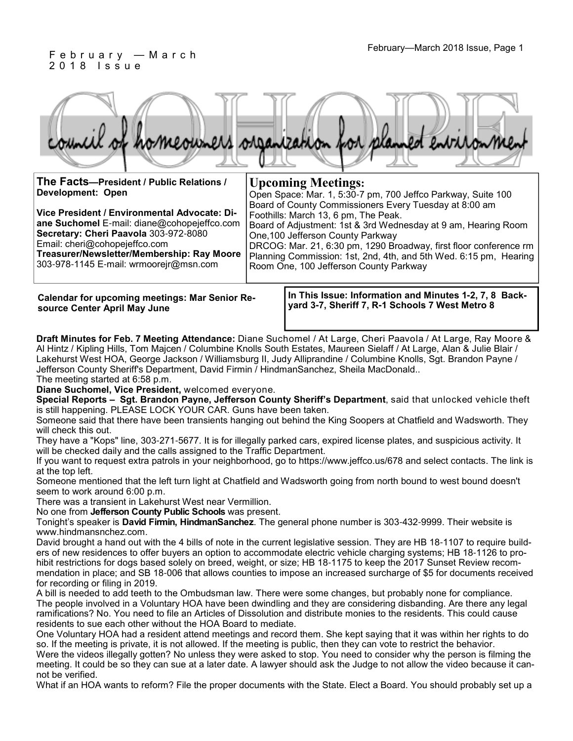#### February—March 2018 Issue, Page 1 F e b r u a r y — M a r c h 2 0 1 8 I s s u e

|  |  |  | council of homeowners organization for planned environment |
|--|--|--|------------------------------------------------------------|
|  |  |  |                                                            |

| The Facts-President / Public Relations /                                                                                                                                                                                                                      | <b>Upcoming Meetings:</b>                                                                                                                                                                                                                                                                                                                                                                 |  |  |
|---------------------------------------------------------------------------------------------------------------------------------------------------------------------------------------------------------------------------------------------------------------|-------------------------------------------------------------------------------------------------------------------------------------------------------------------------------------------------------------------------------------------------------------------------------------------------------------------------------------------------------------------------------------------|--|--|
| <b>Development: Open</b>                                                                                                                                                                                                                                      | Open Space: Mar. 1, 5:30-7 pm, 700 Jeffco Parkway, Suite 100                                                                                                                                                                                                                                                                                                                              |  |  |
| Vice President / Environmental Advocate: Di-<br>ane Suchomel E-mail: diane@cohopejeffco.com<br>Secretary: Cheri Paavola 303-972-8080<br>Email: cheri@cohopejeffco.com<br>Treasurer/Newsletter/Membership: Ray Moore<br>303-978-1145 E-mail: wrmoorejr@msn.com | Board of County Commissioners Every Tuesday at 8:00 am<br>Foothills: March 13, 6 pm, The Peak.<br>Board of Adjustment: 1st & 3rd Wednesday at 9 am, Hearing Room<br>One, 100 Jefferson County Parkway<br>DRCOG: Mar. 21, 6:30 pm, 1290 Broadway, first floor conference rm<br>Planning Commission: 1st, 2nd, 4th, and 5th Wed. 6:15 pm, Hearing<br>Room One, 100 Jefferson County Parkway |  |  |
|                                                                                                                                                                                                                                                               |                                                                                                                                                                                                                                                                                                                                                                                           |  |  |

**Calendar for upcoming meetings: Mar Senior Resource Center April May June**

**In This Issue: Information and Minutes 1-2, 7, 8 Backyard 3-7, Sheriff 7, R-1 Schools 7 West Metro 8**

**Draft Minutes for Feb. 7 Meeting Attendance:** Diane Suchomel / At Large, Cheri Paavola / At Large, Ray Moore & Al Hintz / Kipling Hills, Tom Majcen / Columbine Knolls South Estates, Maureen Sielaff / At Large, Alan & Julie Blair / Lakehurst West HOA, George Jackson / Williamsburg II, Judy Alliprandine / Columbine Knolls, Sgt. Brandon Payne / Jefferson County Sheriff's Department, David Firmin / HindmanSanchez, Sheila MacDonald.. The meeting started at 6:58 p.m.

**Diane Suchomel, Vice President,** welcomed everyone.

**Special Reports – Sgt. Brandon Payne, Jefferson County Sheriff's Department**, said that unlocked vehicle theft is still happening. PLEASE LOCK YOUR CAR. Guns have been taken.

Someone said that there have been transients hanging out behind the King Soopers at Chatfield and Wadsworth. They will check this out.

They have a "Kops" line, 303-271-5677. It is for illegally parked cars, expired license plates, and suspicious activity. It will be checked daily and the calls assigned to the Traffic Department.

If you want to request extra patrols in your neighborhood, go to https://www.jeffco.us/678 and select contacts. The link is at the top left.

Someone mentioned that the left turn light at Chatfield and Wadsworth going from north bound to west bound doesn't seem to work around 6:00 p.m.

There was a transient in Lakehurst West near Vermillion.

No one from **Jefferson County Public Schools** was present.

Tonight's speaker is **David Firmin, HindmanSanchez**. The general phone number is 303-432-9999. Their website is www.hindmansnchez.com.

David brought a hand out with the 4 bills of note in the current legislative session. They are HB 18-1107 to require builders of new residences to offer buyers an option to accommodate electric vehicle charging systems; HB 18-1126 to prohibit restrictions for dogs based solely on breed, weight, or size; HB 18-1175 to keep the 2017 Sunset Review recommendation in place; and SB 18-006 that allows counties to impose an increased surcharge of \$5 for documents received for recording or filing in 2019.

A bill is needed to add teeth to the Ombudsman law. There were some changes, but probably none for compliance. The people involved in a Voluntary HOA have been dwindling and they are considering disbanding. Are there any legal ramifications? No. You need to file an Articles of Dissolution and distribute monies to the residents. This could cause residents to sue each other without the HOA Board to mediate.

One Voluntary HOA had a resident attend meetings and record them. She kept saying that it was within her rights to do so. If the meeting is private, it is not allowed. If the meeting is public, then they can vote to restrict the behavior.

Were the videos illegally gotten? No unless they were asked to stop. You need to consider why the person is filming the meeting. It could be so they can sue at a later date. A lawyer should ask the Judge to not allow the video because it cannot be verified.

What if an HOA wants to reform? File the proper documents with the State. Elect a Board. You should probably set up a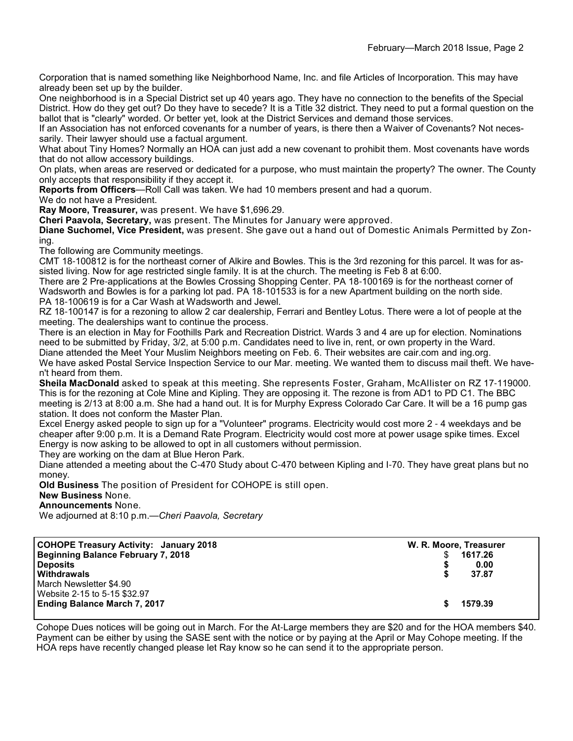Corporation that is named something like Neighborhood Name, Inc. and file Articles of Incorporation. This may have already been set up by the builder.

One neighborhood is in a Special District set up 40 years ago. They have no connection to the benefits of the Special District. How do they get out? Do they have to secede? It is a Title 32 district. They need to put a formal question on the ballot that is "clearly" worded. Or better yet, look at the District Services and demand those services.

If an Association has not enforced covenants for a number of years, is there then a Waiver of Covenants? Not necessarily. Their lawyer should use a factual argument.

What about Tiny Homes? Normally an HOA can just add a new covenant to prohibit them. Most covenants have words that do not allow accessory buildings.

On plats, when areas are reserved or dedicated for a purpose, who must maintain the property? The owner. The County only accepts that responsibility if they accept it.

**Reports from Officers**—Roll Call was taken. We had 10 members present and had a quorum.

We do not have a President.

**Ray Moore, Treasurer,** was present. We have \$1,696.29.

**Cheri Paavola, Secretary,** was present. The Minutes for January were approved.

**Diane Suchomel, Vice President,** was present. She gave out a hand out of Domestic Animals Permitted by Zoning.

The following are Community meetings.

CMT 18-100812 is for the northeast corner of Alkire and Bowles. This is the 3rd rezoning for this parcel. It was for assisted living. Now for age restricted single family. It is at the church. The meeting is Feb 8 at 6:00.

There are 2 Pre-applications at the Bowles Crossing Shopping Center. PA 18-100169 is for the northeast corner of Wadsworth and Bowles is for a parking lot pad. PA 18-101533 is for a new Apartment building on the north side. PA 18-100619 is for a Car Wash at Wadsworth and Jewel.

RZ 18-100147 is for a rezoning to allow 2 car dealership, Ferrari and Bentley Lotus. There were a lot of people at the meeting. The dealerships want to continue the process.

There is an election in May for Foothills Park and Recreation District. Wards 3 and 4 are up for election. Nominations need to be submitted by Friday, 3/2, at 5:00 p.m. Candidates need to live in, rent, or own property in the Ward. Diane attended the Meet Your Muslim Neighbors meeting on Feb. 6. Their websites are cair.com and ing.org.

We have asked Postal Service Inspection Service to our Mar. meeting. We wanted them to discuss mail theft. We haven't heard from them.

**Sheila MacDonald** asked to speak at this meeting. She represents Foster, Graham, McAllister on RZ 17-119000. This is for the rezoning at Cole Mine and Kipling. They are opposing it. The rezone is from AD1 to PD C1. The BBC meeting is 2/13 at 8:00 a.m. She had a hand out. It is for Murphy Express Colorado Car Care. It will be a 16 pump gas station. It does not conform the Master Plan.

Excel Energy asked people to sign up for a "Volunteer" programs. Electricity would cost more 2 - 4 weekdays and be cheaper after 9:00 p.m. It is a Demand Rate Program. Electricity would cost more at power usage spike times. Excel Energy is now asking to be allowed to opt in all customers without permission.

They are working on the dam at Blue Heron Park.

Diane attended a meeting about the C-470 Study about C-470 between Kipling and I-70. They have great plans but no money.

**Old Business** The position of President for COHOPE is still open.

#### **New Business** None.

**Announcements** None.

We adjourned at 8:10 p.m.—*Cheri Paavola, Secretary*

| <b>COHOPE Treasury Activity: January 2018</b><br><b>Beginning Balance February 7, 2018</b> | W. R. Moore, Treasurer<br>1617.26 |
|--------------------------------------------------------------------------------------------|-----------------------------------|
| <b>Deposits</b>                                                                            | 0.00                              |
| Withdrawals                                                                                | 37.87                             |
| March Newsletter \$4.90                                                                    |                                   |
| Website 2-15 to 5-15 \$32.97                                                               |                                   |
| <b>Ending Balance March 7, 2017</b>                                                        | 1579.39                           |
|                                                                                            |                                   |

Cohope Dues notices will be going out in March. For the At-Large members they are \$20 and for the HOA members \$40. Payment can be either by using the SASE sent with the notice or by paying at the April or May Cohope meeting. If the HOA reps have recently changed please let Ray know so he can send it to the appropriate person.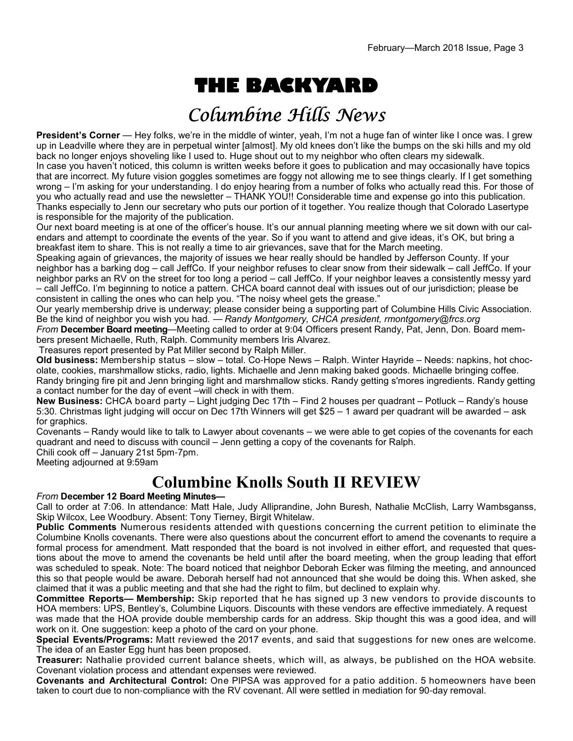# **THE BACKYARD**

## Columbine Hills News

**President's Corner** — Hey folks, we're in the middle of winter, yeah, I'm not a huge fan of winter like I once was. I grew up in Leadville where they are in perpetual winter [almost]. My old knees don't like the bumps on the ski hills and my old back no longer enjoys shoveling like I used to. Huge shout out to my neighbor who often clears my sidewalk.

In case you haven't noticed, this column is written weeks before it goes to publication and may occasionally have topics that are incorrect. My future vision goggles sometimes are foggy not allowing me to see things clearly. If I get something wrong – I'm asking for your understanding. I do enjoy hearing from a number of folks who actually read this. For those of you who actually read and use the newsletter – THANK YOU!! Considerable time and expense go into this publication. Thanks especially to Jenn our secretary who puts our portion of it together. You realize though that Colorado Lasertype is responsible for the majority of the publication.

Our next board meeting is at one of the officer's house. It's our annual planning meeting where we sit down with our calendars and attempt to coordinate the events of the year. So if you want to attend and give ideas, it's OK, but bring a breakfast item to share. This is not really a time to air grievances, save that for the March meeting.

Speaking again of grievances, the majority of issues we hear really should be handled by Jefferson County. If your neighbor has a barking dog – call JeffCo. If your neighbor refuses to clear snow from their sidewalk – call JeffCo. If your neighbor parks an RV on the street for too long a period – call JeffCo. If your neighbor leaves a consistently messy yard – call JeffCo. I'm beginning to notice a pattern. CHCA board cannot deal with issues out of our jurisdiction; please be consistent in calling the ones who can help you. "The noisy wheel gets the grease."

Our yearly membership drive is underway; please consider being a supporting part of Columbine Hills Civic Association. Be the kind of neighbor you wish you had. — *Randy Montgomery, CHCA president, rmontgomery@frcs.org*

*From* **December Board meeting**—Meeting called to order at 9:04 Officers present Randy, Pat, Jenn, Don. Board members present Michaelle, Ruth, Ralph. Community members Iris Alvarez.

Treasures report presented by Pat Miller second by Ralph Miller.

**Old business:** Membership status – slow – total. Co-Hope News – Ralph. Winter Hayride – Needs: napkins, hot chocolate, cookies, marshmallow sticks, radio, lights. Michaelle and Jenn making baked goods. Michaelle bringing coffee. Randy bringing fire pit and Jenn bringing light and marshmallow sticks. Randy getting s'mores ingredients. Randy getting a contact number for the day of event –will check in with them.

**New Business:** CHCA board party – Light judging Dec 17th – Find 2 houses per quadrant – Potluck – Randy's house 5:30. Christmas light judging will occur on Dec 17th Winners will get \$25 – 1 award per quadrant will be awarded – ask for graphics.

Covenants – Randy would like to talk to Lawyer about covenants – we were able to get copies of the covenants for each quadrant and need to discuss with council – Jenn getting a copy of the covenants for Ralph.

Chili cook off – January 21st 5pm-7pm.

Meeting adjourned at 9:59am

### **Columbine Knolls South II REVIEW**

#### *From* **December 12 Board Meeting Minutes—**

Call to order at 7:06. In attendance: Matt Hale, Judy Alliprandine, John Buresh, Nathalie McClish, Larry Wambsganss, Skip Wilcox, Lee Woodbury. Absent: Tony Tierney, Birgit Whitelaw.

**Public Comments** Numerous residents attended with questions concerning the current petition to eliminate the Columbine Knolls covenants. There were also questions about the concurrent effort to amend the covenants to require a formal process for amendment. Matt responded that the board is not involved in either effort, and requested that questions about the move to amend the covenants be held until after the board meeting, when the group leading that effort was scheduled to speak. Note: The board noticed that neighbor Deborah Ecker was filming the meeting, and announced this so that people would be aware. Deborah herself had not announced that she would be doing this. When asked, she claimed that it was a public meeting and that she had the right to film, but declined to explain why.

**Committee Reports— Membership:** Skip reported that he has signed up 3 new vendors to provide discounts to HOA members: UPS, Bentley's, Columbine Liquors. Discounts with these vendors are effective immediately. A request

was made that the HOA provide double membership cards for an address. Skip thought this was a good idea, and will work on it. One suggestion: keep a photo of the card on your phone.

**Special Events/Programs:** Matt reviewed the 2017 events, and said that suggestions for new ones are welcome. The idea of an Easter Egg hunt has been proposed.

**Treasurer:** Nathalie provided current balance sheets, which will, as always, be published on the HOA website. Covenant violation process and attendant expenses were reviewed.

**Covenants and Architectural Control:** One PIPSA was approved for a patio addition. 5 homeowners have been taken to court due to non-compliance with the RV covenant. All were settled in mediation for 90-day removal.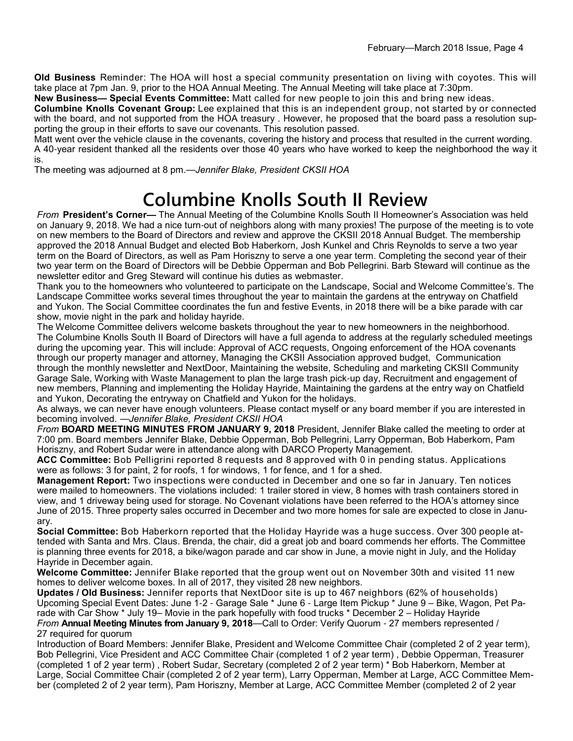**Old Business** Reminder: The HOA will host a special community presentation on living with coyotes. This will take place at 7pm Jan. 9, prior to the HOA Annual Meeting. The Annual Meeting will take place at 7:30pm.

**New Business— Special Events Committee:** Matt called for new people to join this and bring new ideas.

**Columbine Knolls Covenant Group:** Lee explained that this is an independent group, not started by or connected with the board, and not supported from the HOA treasury . However, he proposed that the board pass a resolution supporting the group in their efforts to save our covenants. This resolution passed.

Matt went over the vehicle clause in the covenants, covering the history and process that resulted in the current wording. A 40-year resident thanked all the residents over those 40 years who have worked to keep the neighborhood the way it is.

The meeting was adjourned at 8 pm.—*Jennifer Blake, President CKSII HOA*

# **Columbine Knolls South II Review**

*From* **President's Corner—** The Annual Meeting of the Columbine Knolls South II Homeowner's Association was held on January 9, 2018. We had a nice turn-out of neighbors along with many proxies! The purpose of the meeting is to vote on new members to the Board of Directors and review and approve the CKSII 2018 Annual Budget. The membership approved the 2018 Annual Budget and elected Bob Haberkorn, Josh Kunkel and Chris Reynolds to serve a two year term on the Board of Directors, as well as Pam Horiszny to serve a one year term. Completing the second year of their two year term on the Board of Directors will be Debbie Opperman and Bob Pellegrini. Barb Steward will continue as the newsletter editor and Greg Steward will continue his duties as webmaster.

Thank you to the homeowners who volunteered to participate on the Landscape, Social and Welcome Committee's. The Landscape Committee works several times throughout the year to maintain the gardens at the entryway on Chatfield and Yukon. The Social Committee coordinates the fun and festive Events, in 2018 there will be a bike parade with car show, movie night in the park and holiday hayride.

The Welcome Committee delivers welcome baskets throughout the year to new homeowners in the neighborhood. The Columbine Knolls South II Board of Directors will have a full agenda to address at the regularly scheduled meetings during the upcoming year. This will include: Approval of ACC requests, Ongoing enforcement of the HOA covenants through our property manager and attorney, Managing the CKSII Association approved budget, Communication through the monthly newsletter and NextDoor, Maintaining the website, Scheduling and marketing CKSII Community Garage Sale, Working with Waste Management to plan the large trash pick-up day, Recruitment and engagement of new members, Planning and implementing the Holiday Hayride, Maintaining the gardens at the entry way on Chatfield and Yukon, Decorating the entryway on Chatfield and Yukon for the holidays.

As always, we can never have enough volunteers. Please contact myself or any board member if you are interested in becoming involved. —*Jennifer Blake, President CKSII HOA*

*From* **BOARD MEETING MINUTES FROM JANUARY 9, 2018** President, Jennifer Blake called the meeting to order at 7:00 pm. Board members Jennifer Blake, Debbie Opperman, Bob Pellegrini, Larry Opperman, Bob Haberkorn, Pam Horiszny, and Robert Sudar were in attendance along with DARCO Property Management.

**ACC Committee:** Bob Pelligrini reported 8 requests and 8 approved with 0 in pending status. Applications were as follows: 3 for paint, 2 for roofs, 1 for windows, 1 for fence, and 1 for a shed.

**Management Report:** Two inspections were conducted in December and one so far in January. Ten notices were mailed to homeowners. The violations included: 1 trailer stored in view, 8 homes with trash containers stored in view, and 1 driveway being used for storage. No Covenant violations have been referred to the HOA's attorney since June of 2015. Three property sales occurred in December and two more homes for sale are expected to close in January.

**Social Committee:** Bob Haberkorn reported that the Holiday Hayride was a huge success. Over 300 people attended with Santa and Mrs. Claus. Brenda, the chair, did a great job and board commends her efforts. The Committee is planning three events for 2018, a bike/wagon parade and car show in June, a movie night in July, and the Holiday Hayride in December again.

**Welcome Committee:** Jennifer Blake reported that the group went out on November 30th and visited 11 new homes to deliver welcome boxes. In all of 2017, they visited 28 new neighbors.

**Updates / Old Business:** Jennifer reports that NextDoor site is up to 467 neighbors (62% of households) Upcoming Special Event Dates: June 1-2 - Garage Sale \* June 6 - Large Item Pickup \* June 9 – Bike, Wagon, Pet Parade with Car Show \* July 19– Movie in the park hopefully with food trucks \* December 2 – Holiday Hayride *From* **Annual Meeting Minutes from January 9, 2018**—Call to Order: Verify Quorum - 27 members represented / 27 required for quorum

Introduction of Board Members: Jennifer Blake, President and Welcome Committee Chair (completed 2 of 2 year term), Bob Pellegrini, Vice President and ACC Committee Chair (completed 1 of 2 year term) , Debbie Opperman, Treasurer (completed 1 of 2 year term) , Robert Sudar, Secretary (completed 2 of 2 year term) \* Bob Haberkorn, Member at Large, Social Committee Chair (completed 2 of 2 year term), Larry Opperman, Member at Large, ACC Committee Member (completed 2 of 2 year term), Pam Horiszny, Member at Large, ACC Committee Member (completed 2 of 2 year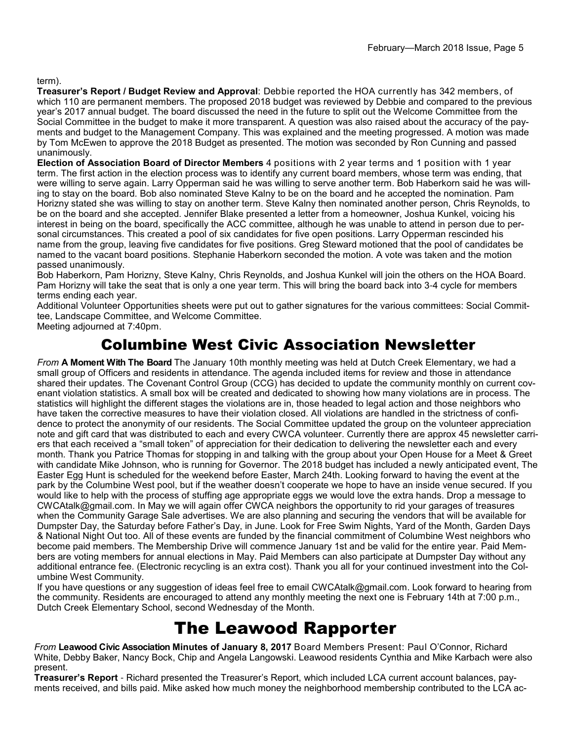#### term).

**Treasurer's Report / Budget Review and Approval**: Debbie reported the HOA currently has 342 members, of which 110 are permanent members. The proposed 2018 budget was reviewed by Debbie and compared to the previous year's 2017 annual budget. The board discussed the need in the future to split out the Welcome Committee from the Social Committee in the budget to make it more transparent. A question was also raised about the accuracy of the payments and budget to the Management Company. This was explained and the meeting progressed. A motion was made by Tom McEwen to approve the 2018 Budget as presented. The motion was seconded by Ron Cunning and passed unanimously.

**Election of Association Board of Director Members** 4 positions with 2 year terms and 1 position with 1 year term. The first action in the election process was to identify any current board members, whose term was ending, that were willing to serve again. Larry Opperman said he was willing to serve another term. Bob Haberkorn said he was willing to stay on the board. Bob also nominated Steve Kalny to be on the board and he accepted the nomination. Pam Horizny stated she was willing to stay on another term. Steve Kalny then nominated another person, Chris Reynolds, to be on the board and she accepted. Jennifer Blake presented a letter from a homeowner, Joshua Kunkel, voicing his interest in being on the board, specifically the ACC committee, although he was unable to attend in person due to personal circumstances. This created a pool of six candidates for five open positions. Larry Opperman rescinded his name from the group, leaving five candidates for five positions. Greg Steward motioned that the pool of candidates be named to the vacant board positions. Stephanie Haberkorn seconded the motion. A vote was taken and the motion passed unanimously.

Bob Haberkorn, Pam Horizny, Steve Kalny, Chris Reynolds, and Joshua Kunkel will join the others on the HOA Board. Pam Horizny will take the seat that is only a one year term. This will bring the board back into 3-4 cycle for members terms ending each year.

Additional Volunteer Opportunities sheets were put out to gather signatures for the various committees: Social Committee, Landscape Committee, and Welcome Committee.

Meeting adjourned at 7:40pm.

### Columbine West Civic Association Newsletter

*From* **A Moment With The Board** The January 10th monthly meeting was held at Dutch Creek Elementary, we had a small group of Officers and residents in attendance. The agenda included items for review and those in attendance shared their updates. The Covenant Control Group (CCG) has decided to update the community monthly on current covenant violation statistics. A small box will be created and dedicated to showing how many violations are in process. The statistics will highlight the different stages the violations are in, those headed to legal action and those neighbors who have taken the corrective measures to have their violation closed. All violations are handled in the strictness of confidence to protect the anonymity of our residents. The Social Committee updated the group on the volunteer appreciation note and gift card that was distributed to each and every CWCA volunteer. Currently there are approx 45 newsletter carriers that each received a "small token" of appreciation for their dedication to delivering the newsletter each and every month. Thank you Patrice Thomas for stopping in and talking with the group about your Open House for a Meet & Greet with candidate Mike Johnson, who is running for Governor. The 2018 budget has included a newly anticipated event, The Easter Egg Hunt is scheduled for the weekend before Easter, March 24th. Looking forward to having the event at the park by the Columbine West pool, but if the weather doesn't cooperate we hope to have an inside venue secured. If you would like to help with the process of stuffing age appropriate eggs we would love the extra hands. Drop a message to CWCAtalk@gmail.com. In May we will again offer CWCA neighbors the opportunity to rid your garages of treasures when the Community Garage Sale advertises. We are also planning and securing the vendors that will be available for Dumpster Day, the Saturday before Father's Day, in June. Look for Free Swim Nights, Yard of the Month, Garden Days & National Night Out too. All of these events are funded by the financial commitment of Columbine West neighbors who become paid members. The Membership Drive will commence January 1st and be valid for the entire year. Paid Members are voting members for annual elections in May. Paid Members can also participate at Dumpster Day without any additional entrance fee. (Electronic recycling is an extra cost). Thank you all for your continued investment into the Columbine West Community.

If you have questions or any suggestion of ideas feel free to email CWCAtalk@gmail.com. Look forward to hearing from the community. Residents are encouraged to attend any monthly meeting the next one is February 14th at 7:00 p.m., Dutch Creek Elementary School, second Wednesday of the Month.

## The Leawood Rapporter

*From* **Leawood Civic Association Minutes of January 8, 2017** Board Members Present: Paul O'Connor, Richard White, Debby Baker, Nancy Bock, Chip and Angela Langowski. Leawood residents Cynthia and Mike Karbach were also present.

**Treasurer's Report** - Richard presented the Treasurer's Report, which included LCA current account balances, payments received, and bills paid. Mike asked how much money the neighborhood membership contributed to the LCA ac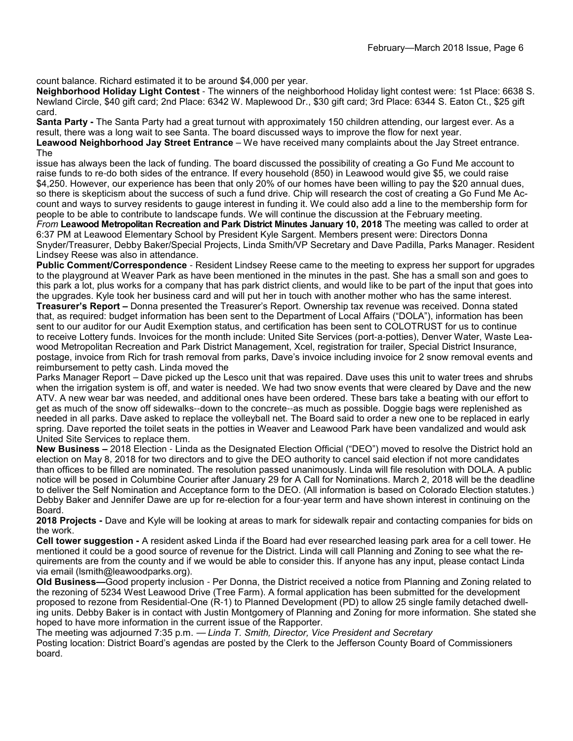count balance. Richard estimated it to be around \$4,000 per year.

**Neighborhood Holiday Light Contest** - The winners of the neighborhood Holiday light contest were: 1st Place: 6638 S. Newland Circle, \$40 gift card; 2nd Place: 6342 W. Maplewood Dr., \$30 gift card; 3rd Place: 6344 S. Eaton Ct., \$25 gift card.

**Santa Party -** The Santa Party had a great turnout with approximately 150 children attending, our largest ever. As a result, there was a long wait to see Santa. The board discussed ways to improve the flow for next year.

**Leawood Neighborhood Jay Street Entrance** – We have received many complaints about the Jay Street entrance. The

issue has always been the lack of funding. The board discussed the possibility of creating a Go Fund Me account to raise funds to re-do both sides of the entrance. If every household (850) in Leawood would give \$5, we could raise \$4,250. However, our experience has been that only 20% of our homes have been willing to pay the \$20 annual dues, so there is skepticism about the success of such a fund drive. Chip will research the cost of creating a Go Fund Me Account and ways to survey residents to gauge interest in funding it. We could also add a line to the membership form for people to be able to contribute to landscape funds. We will continue the discussion at the February meeting. *From* **Leawood Metropolitan Recreation and Park District Minutes January 10, 2018** The meeting was called to order at 6:37 PM at Leawood Elementary School by President Kyle Sargent. Members present were: Directors Donna Snyder/Treasurer, Debby Baker/Special Projects, Linda Smith/VP Secretary and Dave Padilla, Parks Manager. Resident Lindsey Reese was also in attendance.

**Public Comment/Correspondence** - Resident Lindsey Reese came to the meeting to express her support for upgrades to the playground at Weaver Park as have been mentioned in the minutes in the past. She has a small son and goes to this park a lot, plus works for a company that has park district clients, and would like to be part of the input that goes into the upgrades. Kyle took her business card and will put her in touch with another mother who has the same interest.

**Treasurer's Report –** Donna presented the Treasurer's Report. Ownership tax revenue was received. Donna stated that, as required: budget information has been sent to the Department of Local Affairs ("DOLA"), information has been sent to our auditor for our Audit Exemption status, and certification has been sent to COLOTRUST for us to continue to receive Lottery funds. Invoices for the month include: United Site Services (port-a-potties), Denver Water, Waste Leawood Metropolitan Recreation and Park District Management, Xcel, registration for trailer, Special District Insurance, postage, invoice from Rich for trash removal from parks, Dave's invoice including invoice for 2 snow removal events and reimbursement to petty cash. Linda moved the

Parks Manager Report – Dave picked up the Lesco unit that was repaired. Dave uses this unit to water trees and shrubs when the irrigation system is off, and water is needed. We had two snow events that were cleared by Dave and the new ATV. A new wear bar was needed, and additional ones have been ordered. These bars take a beating with our effort to get as much of the snow off sidewalks--down to the concrete--as much as possible. Doggie bags were replenished as needed in all parks. Dave asked to replace the volleyball net. The Board said to order a new one to be replaced in early spring. Dave reported the toilet seats in the potties in Weaver and Leawood Park have been vandalized and would ask United Site Services to replace them.

**New Business –** 2018 Election - Linda as the Designated Election Official ("DEO") moved to resolve the District hold an election on May 8, 2018 for two directors and to give the DEO authority to cancel said election if not more candidates than offices to be filled are nominated. The resolution passed unanimously. Linda will file resolution with DOLA. A public notice will be posed in Columbine Courier after January 29 for A Call for Nominations. March 2, 2018 will be the deadline to deliver the Self Nomination and Acceptance form to the DEO. (All information is based on Colorado Election statutes.) Debby Baker and Jennifer Dawe are up for re-election for a four-year term and have shown interest in continuing on the Board.

**2018 Projects -** Dave and Kyle will be looking at areas to mark for sidewalk repair and contacting companies for bids on the work.

**Cell tower suggestion -** A resident asked Linda if the Board had ever researched leasing park area for a cell tower. He mentioned it could be a good source of revenue for the District. Linda will call Planning and Zoning to see what the requirements are from the county and if we would be able to consider this. If anyone has any input, please contact Linda via email (lsmith@leawoodparks.org).

**Old Business—**Good property inclusion - Per Donna, the District received a notice from Planning and Zoning related to the rezoning of 5234 West Leawood Drive (Tree Farm). A formal application has been submitted for the development proposed to rezone from Residential-One (R-1) to Planned Development (PD) to allow 25 single family detached dwelling units. Debby Baker is in contact with Justin Montgomery of Planning and Zoning for more information. She stated she hoped to have more information in the current issue of the Rapporter.

The meeting was adjourned 7:35 p.m. — *Linda T. Smith, Director, Vice President and Secretary* Posting location: District Board's agendas are posted by the Clerk to the Jefferson County Board of Commissioners board.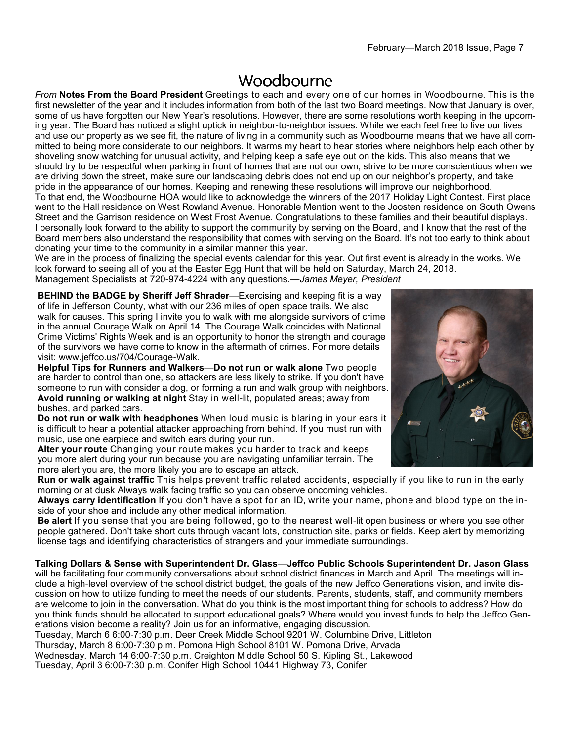## Woodbourne

*From* **Notes From the Board President** Greetings to each and every one of our homes in Woodbourne. This is the first newsletter of the year and it includes information from both of the last two Board meetings. Now that January is over, some of us have forgotten our New Year's resolutions. However, there are some resolutions worth keeping in the upcoming year. The Board has noticed a slight uptick in neighbor-to-neighbor issues. While we each feel free to live our lives and use our property as we see fit, the nature of living in a community such as Woodbourne means that we have all committed to being more considerate to our neighbors. It warms my heart to hear stories where neighbors help each other by shoveling snow watching for unusual activity, and helping keep a safe eye out on the kids. This also means that we should try to be respectful when parking in front of homes that are not our own, strive to be more conscientious when we are driving down the street, make sure our landscaping debris does not end up on our neighbor's property, and take pride in the appearance of our homes. Keeping and renewing these resolutions will improve our neighborhood. To that end, the Woodbourne HOA would like to acknowledge the winners of the 2017 Holiday Light Contest. First place went to the Hall residence on West Rowland Avenue. Honorable Mention went to the Joosten residence on South Owens Street and the Garrison residence on West Frost Avenue. Congratulations to these families and their beautiful displays. I personally look forward to the ability to support the community by serving on the Board, and I know that the rest of the Board members also understand the responsibility that comes with serving on the Board. It's not too early to think about donating your time to the community in a similar manner this year.

We are in the process of finalizing the special events calendar for this year. Out first event is already in the works. We look forward to seeing all of you at the Easter Egg Hunt that will be held on Saturday, March 24, 2018. Management Specialists at 720-974-4224 with any questions.—*James Meyer, President*

**BEHIND the BADGE by Sheriff Jeff Shrader**—Exercising and keeping fit is a way of life in Jefferson County, what with our 236 miles of open space trails. We also walk for causes. This spring I invite you to walk with me alongside survivors of crime in the annual Courage Walk on April 14. The Courage Walk coincides with National Crime Victims' Rights Week and is an opportunity to honor the strength and courage of the survivors we have come to know in the aftermath of crimes. For more details visit: www.jeffco.us/704/Courage-Walk.

**Helpful Tips for Runners and Walkers**—**Do not run or walk alone** Two people are harder to control than one, so attackers are less likely to strike. If you don't have someone to run with consider a dog, or forming a run and walk group with neighbors. **Avoid running or walking at night** Stay in well-lit, populated areas; away from bushes, and parked cars.

**Do not run or walk with headphones** When loud music is blaring in your ears it is difficult to hear a potential attacker approaching from behind. If you must run with music, use one earpiece and switch ears during your run.

**Alter your route** Changing your route makes you harder to track and keeps you more alert during your run because you are navigating unfamiliar terrain. The more alert you are, the more likely you are to escape an attack.

**Run or walk against traffic** This helps prevent traffic related accidents, especially if you like to run in the early morning or at dusk Always walk facing traffic so you can observe oncoming vehicles.

**Always carry identification** If you don't have a spot for an ID, write your name, phone and blood type on the inside of your shoe and include any other medical information.

**Be alert** If you sense that you are being followed, go to the nearest well-lit open business or where you see other people gathered. Don't take short cuts through vacant lots, construction site, parks or fields. Keep alert by memorizing license tags and identifying characteristics of strangers and your immediate surroundings.

**Talking Dollars & Sense with Superintendent Dr. Glass**—**Jeffco Public Schools Superintendent Dr. Jason Glass**  will be facilitating four community conversations about school district finances in March and April. The meetings will include a high-level overview of the school district budget, the goals of the new Jeffco Generations vision, and invite dis-

cussion on how to utilize funding to meet the needs of our students. Parents, students, staff, and community members are welcome to join in the conversation. What do you think is the most important thing for schools to address? How do you think funds should be allocated to support educational goals? Where would you invest funds to help the Jeffco Generations vision become a reality? Join us for an informative, engaging discussion.

Tuesday, March 6 6:00-7:30 p.m. Deer Creek Middle School 9201 W. Columbine Drive, Littleton

Thursday, March 8 6:00-7:30 p.m. Pomona High School 8101 W. Pomona Drive, Arvada

Wednesday, March 14 6:00-7:30 p.m. Creighton Middle School 50 S. Kipling St., Lakewood Tuesday, April 3 6:00-7:30 p.m. Conifer High School 10441 Highway 73, Conifer